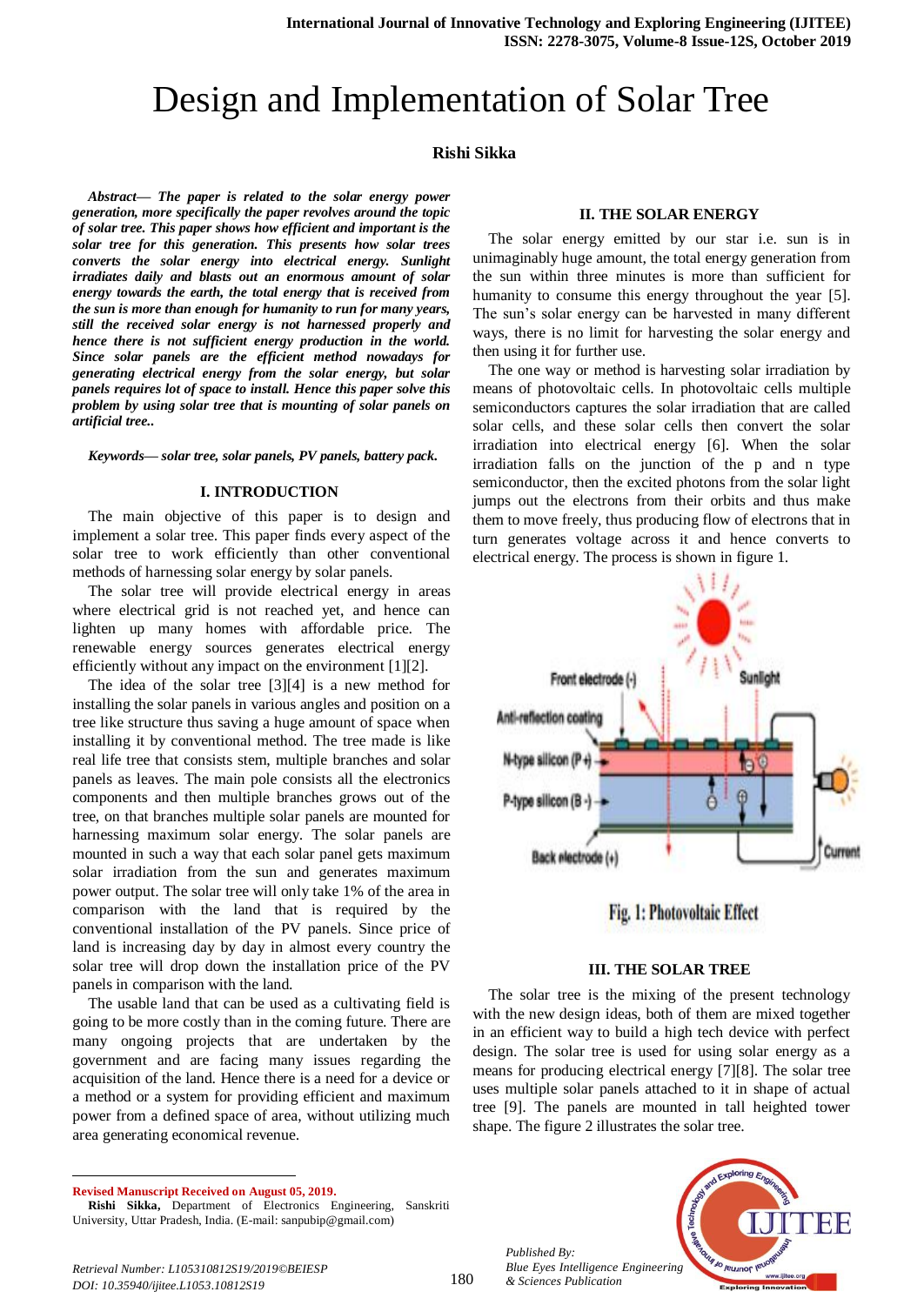# Design and Implementation of Solar Tree

## **Rishi Sikka**

*Abstract— The paper is related to the solar energy power generation, more specifically the paper revolves around the topic of solar tree. This paper shows how efficient and important is the solar tree for this generation. This presents how solar trees converts the solar energy into electrical energy. Sunlight irradiates daily and blasts out an enormous amount of solar energy towards the earth, the total energy that is received from the sun is more than enough for humanity to run for many years, still the received solar energy is not harnessed properly and hence there is not sufficient energy production in the world. Since solar panels are the efficient method nowadays for generating electrical energy from the solar energy, but solar panels requires lot of space to install. Hence this paper solve this problem by using solar tree that is mounting of solar panels on artificial tree..*

*Keywords— solar tree, solar panels, PV panels, battery pack.*

#### **I. INTRODUCTION**

The main objective of this paper is to design and implement a solar tree. This paper finds every aspect of the solar tree to work efficiently than other conventional methods of harnessing solar energy by solar panels.

The solar tree will provide electrical energy in areas where electrical grid is not reached yet, and hence can lighten up many homes with affordable price. The renewable energy sources generates electrical energy efficiently without any impact on the environment [1][2].

The idea of the solar tree [3][4] is a new method for installing the solar panels in various angles and position on a tree like structure thus saving a huge amount of space when installing it by conventional method. The tree made is like real life tree that consists stem, multiple branches and solar panels as leaves. The main pole consists all the electronics components and then multiple branches grows out of the tree, on that branches multiple solar panels are mounted for harnessing maximum solar energy. The solar panels are mounted in such a way that each solar panel gets maximum solar irradiation from the sun and generates maximum power output. The solar tree will only take 1% of the area in comparison with the land that is required by the conventional installation of the PV panels. Since price of land is increasing day by day in almost every country the solar tree will drop down the installation price of the PV panels in comparison with the land.

The usable land that can be used as a cultivating field is going to be more costly than in the coming future. There are many ongoing projects that are undertaken by the government and are facing many issues regarding the acquisition of the land. Hence there is a need for a device or a method or a system for providing efficient and maximum power from a defined space of area, without utilizing much area generating economical revenue.

**Revised Manuscript Received on August 05, 2019.**

1

#### **II. THE SOLAR ENERGY**

The solar energy emitted by our star i.e. sun is in unimaginably huge amount, the total energy generation from the sun within three minutes is more than sufficient for humanity to consume this energy throughout the year [5]. The sun's solar energy can be harvested in many different ways, there is no limit for harvesting the solar energy and then using it for further use.

The one way or method is harvesting solar irradiation by means of photovoltaic cells. In photovoltaic cells multiple semiconductors captures the solar irradiation that are called solar cells, and these solar cells then convert the solar irradiation into electrical energy [6]. When the solar irradiation falls on the junction of the p and n type semiconductor, then the excited photons from the solar light jumps out the electrons from their orbits and thus make them to move freely, thus producing flow of electrons that in turn generates voltage across it and hence converts to electrical energy. The process is shown in figure 1.





#### **III. THE SOLAR TREE**

The solar tree is the mixing of the present technology with the new design ideas, both of them are mixed together in an efficient way to build a high tech device with perfect design. The solar tree is used for using solar energy as a means for producing electrical energy [7][8]. The solar tree uses multiple solar panels attached to it in shape of actual tree [9]. The panels are mounted in tall heighted tower shape. The figure 2 illustrates the solar tree.

*Published By: Blue Eyes Intelligence Engineering & Sciences Publication* 



*Retrieval Number: L105310812S19/2019©BEIESP DOI: 10.35940/ijitee.L1053.10812S19*

**Rishi Sikka,** Department of Electronics Engineering, Sanskriti University, Uttar Pradesh, India. (E-mail[: sanpubip@gmail.com\)](mailto:sanpubip@gmail.com)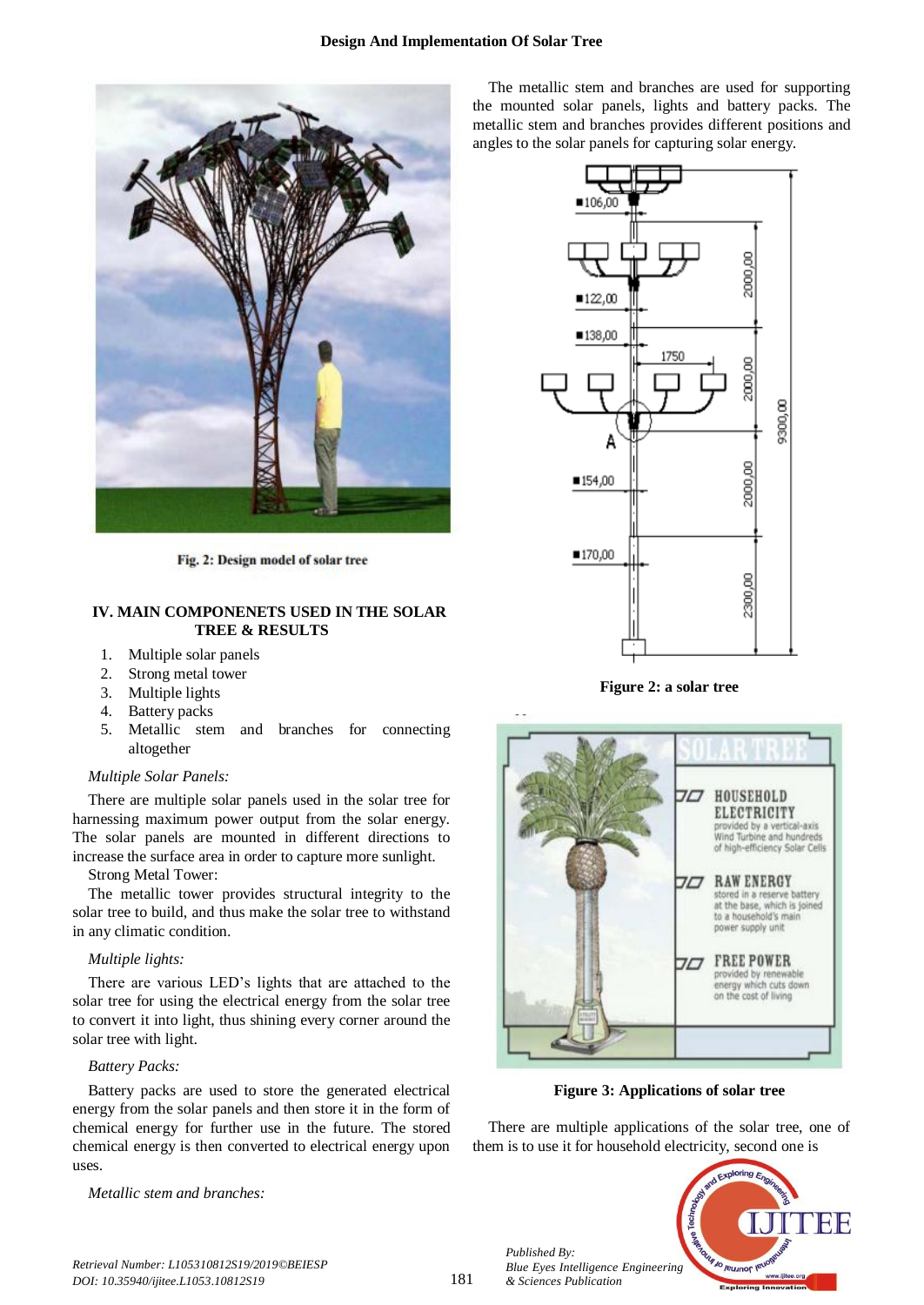

Fig. 2: Design model of solar tree

## **IV. MAIN COMPONENETS USED IN THE SOLAR TREE & RESULTS**

- 1. Multiple solar panels
- 2. Strong metal tower
- 3. Multiple lights
- 4. Battery packs
- 5. Metallic stem and branches for connecting altogether

#### *Multiple Solar Panels:*

There are multiple solar panels used in the solar tree for harnessing maximum power output from the solar energy. The solar panels are mounted in different directions to increase the surface area in order to capture more sunlight.

Strong Metal Tower:

The metallic tower provides structural integrity to the solar tree to build, and thus make the solar tree to withstand in any climatic condition.

## *Multiple lights:*

There are various LED's lights that are attached to the solar tree for using the electrical energy from the solar tree to convert it into light, thus shining every corner around the solar tree with light.

## *Battery Packs:*

Battery packs are used to store the generated electrical energy from the solar panels and then store it in the form of chemical energy for further use in the future. The stored chemical energy is then converted to electrical energy upon uses.

*Metallic stem and branches:*

The metallic stem and branches are used for supporting the mounted solar panels, lights and battery packs. The metallic stem and branches provides different positions and angles to the solar panels for capturing solar energy.



**Figure 2: a solar tree**



**Figure 3: Applications of solar tree**

There are multiple applications of the solar tree, one of them is to use it for household electricity, second one is



*Retrieval Number: L105310812S19/2019©BEIESP DOI: 10.35940/ijitee.L1053.10812S19*

181

*Published By:*

*& Sciences Publication*